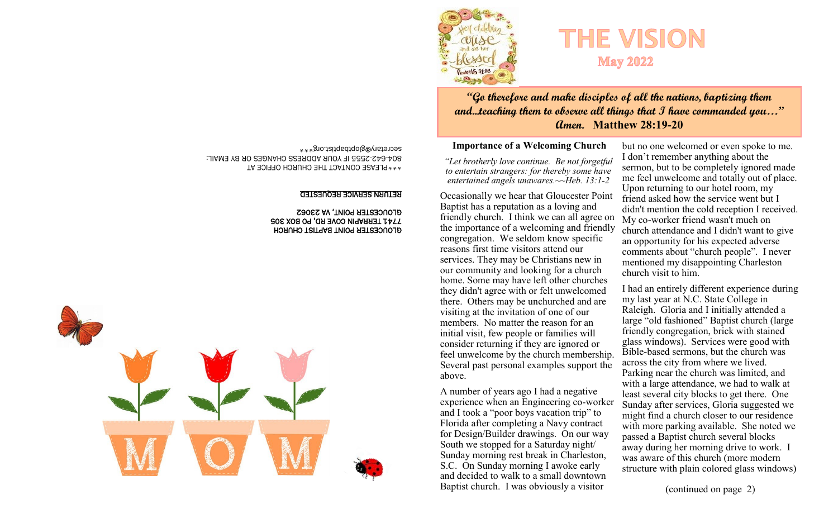

# **"Go therefore and make disciples of all the nations, baptizing them and...teaching them to observe all things that I have commanded you…" Amen. Matthew 28:19-20**

**May 2022** 

### **Importance of a Welcoming Church**

*"Let brotherly love continue. Be not forgetful to entertain strangers: for thereby some have entertained angels unawares.~~Heb. 13:1-2*

Occasionally we hear that Gloucester Point Baptist has a reputation as a loving and friendly church. I think we can all agree on the importance of a welcoming and friendly congregation. We seldom know specific reasons first time visitors attend our services. They may be Christians new in our community and looking for a church home. Some may have left other churches they didn't agree with or felt unwelcomed there. Others may be unchurched and are visiting at the invitation of one of our members. No matter the reason for an initial visit, few people or families will consider returning if they are ignored or feel unwelcome by the church membership. Several past personal examples support the above.

A number of years ago I had a negative experience when an Engineering co-worker and I took a "poor boys vacation trip" to Florida after completing a Navy contract for Design/Builder drawings. On our way South we stopped for a Saturday night/ Sunday morning rest break in Charleston, S.C. On Sunday morning I awoke early and decided to walk to a small downtown Baptist church. I was obviously a visitor

but no one welcomed or even spoke to me. I don't remember anything about the sermon, but to be completely ignored made me feel unwelcome and totally out of place. Upon returning to our hotel room, my friend asked how the service went but I didn't mention the cold reception I received. My co-worker friend wasn't much on church attendance and I didn't want to give an opportunity for his expected adverse comments about "church people". I never mentioned my disappointing Charleston church visit to him.

I had an entirely different experience during my last year at N.C. State College in Raleigh. Gloria and I initially attended a large "old fashioned" Baptist church (large friendly congregation, brick with stained glass windows). Services were good with Bible-based sermons, but the church was across the city from where we lived. Parking near the church was limited, and with a large attendance, we had to walk at least several city blocks to get there. One Sunday after services, Gloria suggested we might find a church closer to our residence with more parking available. She noted we passed a Baptist church several blocks away during her morning drive to work. I was aware of this church (more modern structure with plain colored glass windows)

(continued on page 2)

\*\*\*PLEASE CONTACT THE CHURCH OFFICE AT 2555 IF YOUR ADDRESS CHANGES OR BY EMAIL: - 642 - 804 secretary@gloptbaptist.org\*\*\*

### RETURN SERVICE REQUESTED

### GLOUCESTER POINT BAPTIST CHURCH 7741 TERRAPIN COVE RD, PO BOX 305 GLOUCESTER POINT, VA 23062

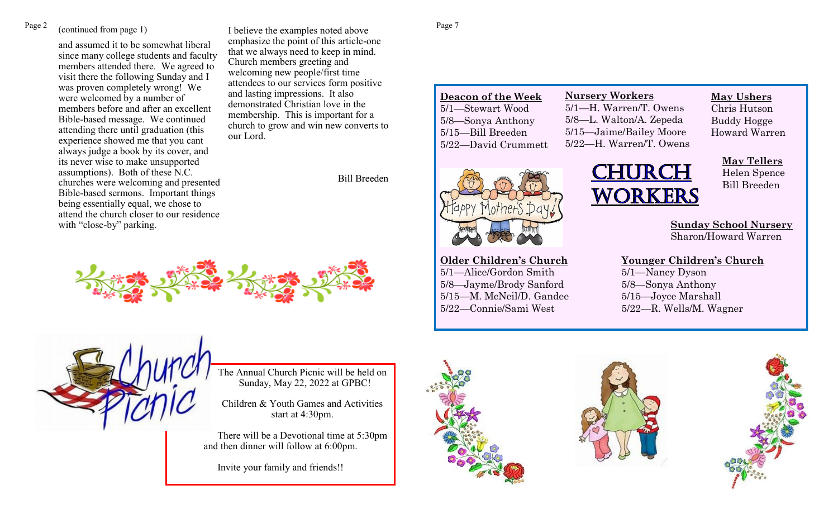# (continued from page 1)

and assumed it to be somewhat liberal since many college students and faculty members attended there. We agreed to visit there the following Sunday and I was proven completely wrong! We were welcomed by a number of members before and after an excellent Bible-based message. We continued attending there until graduation (this experience showed me that you cant always judge a book by its cover, and its never wise to make unsupported assumptions). Both of these N.C. churches were welcoming and presented Bible-based sermons. Important things being essentially equal, we chose to attend the church closer to our residence with "close-by" parking.

Page 2 (continued from page 1) I believe the examples noted above Page 7 emphasize the point of this article-one that we always need to keep in mind. Church members greeting and welcoming new people/first time attendees to our services form positive and lasting impressions. It also demonstrated Christian love in the membership. This is important for a church to grow and win new converts to our Lord.

Bill Breeden



**Deacon of the Week** 5/1—Stewart Wood 5/8—Sonya Anthony 5/15—Bill Breeden 5/22—David Crummett

**Older Children's Church** 5/1—Alice/Gordon Smith 5/8—Jayme/Brody Sanford 5/15—M. McNeil/D. Gandee 5/22—Connie/Sami West

# **Nursery Workers** 5/1—H. Warren/T. Owens 5/8—L. Walton/A. Zepeda 5/15—Jaime/Bailey Moore

5/22—H. Warren/T. Owens

CHURCH

**May Ushers**

Chris Hutson Buddy Hogge Howard Warren

# **May Tellers**

Helen Spence Bill Breeden

**Sunday School Nursery** Sharon/Howard Warren

**Younger Children's Church** 5/1—Nancy Dyson 5/8—Sonya Anthony 5/15—Joyce Marshall 5/22—R. Wells/M. Wagner

i<br>L



The Annual Church Picnic will be held on Sunday, May 22, 2022 at GPBC!

Children & Youth Games and Activities start at 4:30pm.

There will be a Devotional time at 5:30pm and then dinner will follow at 6:00pm.

Invite your family and friends!!





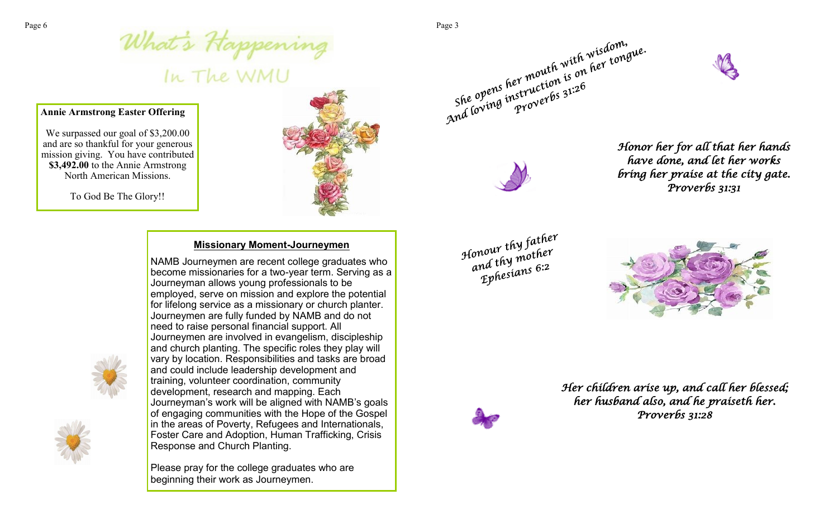# Page 6<br>
What's Happening<br>
In The WMU<br>
Annie Armstron Function Function Function Function Function Function Function Function Function Function Function Function Function Function Function Function Function Function Functio

### **Annie Armstrong Easter Offering**

We surpassed our goal of \$3,200.00 and are so thankful for your generous mission giving. You have contributed **\$3,492.00** to the Annie Armstrong North American Missions.

To God Be The Glory!!



# **Missionary Moment-Journeymen**

NAMB Journeymen are recent college graduates who become missionaries for a two-year term. Serving as a Journeyman allows young professionals to be employed, serve on mission and explore the potential for lifelong service as a missionary or church planter. Journeymen are fully funded by NAMB and do not need to raise personal financial support. All Journeymen are involved in evangelism, discipleship and church planting. The specific roles they play will vary by location. Responsibilities and tasks are broad and could include leadership development and training, volunteer coordination, community development, research and mapping. Each Journeyman's work will be aligned with NAMB's goals of engaging communities with the Hope of the Gospel in the areas of Poverty, Refugees and Internationals, Foster Care and Adoption, Human Trafficking, Crisis Response and Church Planting.

Please pray for the college graduates who are beginning their work as Journeymen.





*have done, and let her works bring her praise at the city gate. Proverbs 31:31* 

and loving instructions 31:26<br>and loving instructions 31:26<br>Honor her for all that her hands



*Her children arise up, and call her blessed; her husband also, and he praiseth her. Proverbs 31:28*